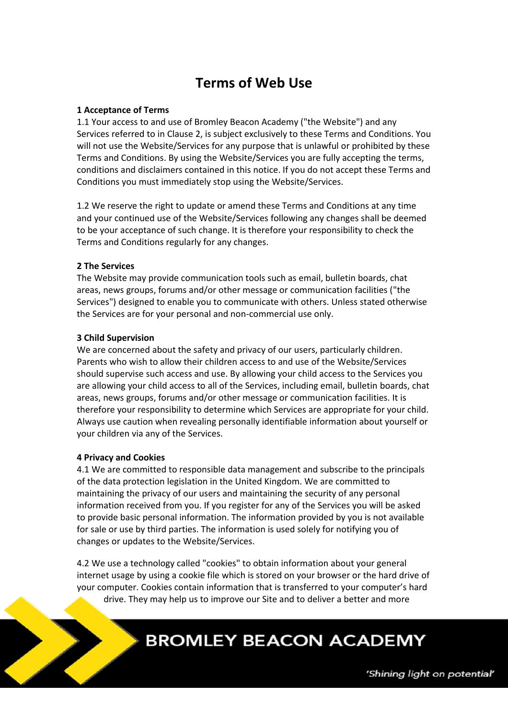# **Terms of Web Use**

## **1 Acceptance of Terms**

1.1 Your access to and use of Bromley Beacon Academy ("the Website") and any Services referred to in Clause 2, is subject exclusively to these Terms and Conditions. You will not use the Website/Services for any purpose that is unlawful or prohibited by these Terms and Conditions. By using the Website/Services you are fully accepting the terms, conditions and disclaimers contained in this notice. If you do not accept these Terms and Conditions you must immediately stop using the Website/Services.

1.2 We reserve the right to update or amend these Terms and Conditions at any time and your continued use of the Website/Services following any changes shall be deemed to be your acceptance of such change. It is therefore your responsibility to check the Terms and Conditions regularly for any changes.

## **2 The Services**

The Website may provide communication tools such as email, bulletin boards, chat areas, news groups, forums and/or other message or communication facilities ("the Services") designed to enable you to communicate with others. Unless stated otherwise the Services are for your personal and non-commercial use only.

## **3 Child Supervision**

We are concerned about the safety and privacy of our users, particularly children. Parents who wish to allow their children access to and use of the Website/Services should supervise such access and use. By allowing your child access to the Services you are allowing your child access to all of the Services, including email, bulletin boards, chat areas, news groups, forums and/or other message or communication facilities. It is therefore your responsibility to determine which Services are appropriate for your child. Always use caution when revealing personally identifiable information about yourself or your children via any of the Services.

#### **4 Privacy and Cookies**

4.1 We are committed to responsible data management and subscribe to the principals of the data protection legislation in the United Kingdom. We are committed to maintaining the privacy of our users and maintaining the security of any personal information received from you. If you register for any of the Services you will be asked to provide basic personal information. The information provided by you is not available for sale or use by third parties. The information is used solely for notifying you of changes or updates to the Website/Services.

4.2 We use a technology called "cookies" to obtain information about your general internet usage by using a cookie file which is stored on your browser or the hard drive of your computer. Cookies contain information that is transferred to your computer's hard drive. They may help us to improve our Site and to deliver a better and more

# **BROMLEY BEACON ACADEMY**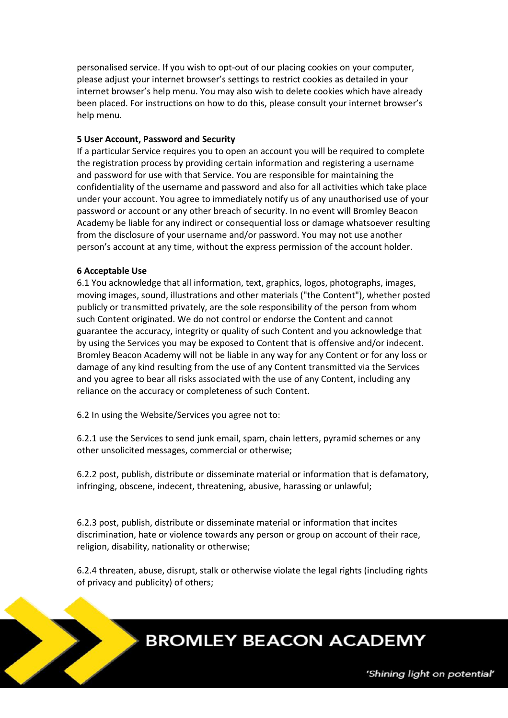personalised service. If you wish to opt-out of our placing cookies on your computer, please adjust your internet browser's settings to restrict cookies as detailed in your internet browser's help menu. You may also wish to delete cookies which have already been placed. For instructions on how to do this, please consult your internet browser's help menu.

#### **5 User Account, Password and Security**

If a particular Service requires you to open an account you will be required to complete the registration process by providing certain information and registering a username and password for use with that Service. You are responsible for maintaining the confidentiality of the username and password and also for all activities which take place under your account. You agree to immediately notify us of any unauthorised use of your password or account or any other breach of security. In no event will Bromley Beacon Academy be liable for any indirect or consequential loss or damage whatsoever resulting from the disclosure of your username and/or password. You may not use another person's account at any time, without the express permission of the account holder.

#### **6 Acceptable Use**

6.1 You acknowledge that all information, text, graphics, logos, photographs, images, moving images, sound, illustrations and other materials ("the Content"), whether posted publicly or transmitted privately, are the sole responsibility of the person from whom such Content originated. We do not control or endorse the Content and cannot guarantee the accuracy, integrity or quality of such Content and you acknowledge that by using the Services you may be exposed to Content that is offensive and/or indecent. Bromley Beacon Academy will not be liable in any way for any Content or for any loss or damage of any kind resulting from the use of any Content transmitted via the Services and you agree to bear all risks associated with the use of any Content, including any reliance on the accuracy or completeness of such Content.

6.2 In using the Website/Services you agree not to:

6.2.1 use the Services to send junk email, spam, chain letters, pyramid schemes or any other unsolicited messages, commercial or otherwise;

6.2.2 post, publish, distribute or disseminate material or information that is defamatory, infringing, obscene, indecent, threatening, abusive, harassing or unlawful;

6.2.3 post, publish, distribute or disseminate material or information that incites discrimination, hate or violence towards any person or group on account of their race, religion, disability, nationality or otherwise;

6.2.4 threaten, abuse, disrupt, stalk or otherwise violate the legal rights (including rights of privacy and publicity) of others;

# **BROMLEY BEACON ACADEMY**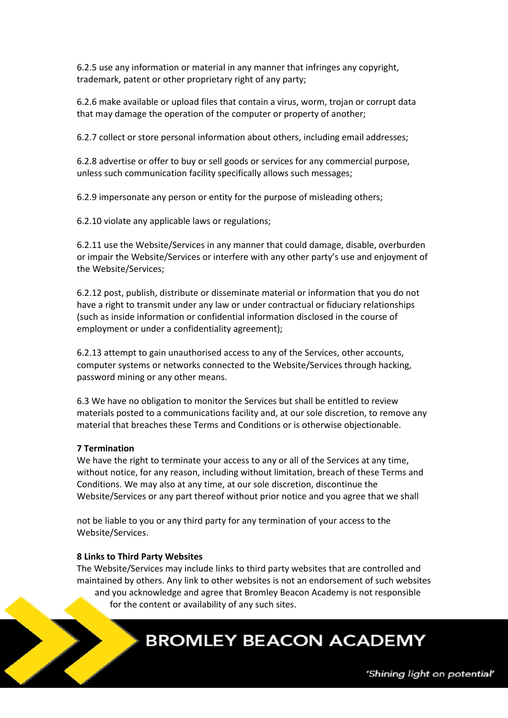6.2.5 use any information or material in any manner that infringes any copyright, trademark, patent or other proprietary right of any party;

6.2.6 make available or upload files that contain a virus, worm, trojan or corrupt data that may damage the operation of the computer or property of another;

6.2.7 collect or store personal information about others, including email addresses;

6.2.8 advertise or offer to buy or sell goods or services for any commercial purpose, unless such communication facility specifically allows such messages;

6.2.9 impersonate any person or entity for the purpose of misleading others;

6.2.10 violate any applicable laws or regulations;

6.2.11 use the Website/Services in any manner that could damage, disable, overburden or impair the Website/Services or interfere with any other party's use and enjoyment of the Website/Services;

6.2.12 post, publish, distribute or disseminate material or information that you do not have a right to transmit under any law or under contractual or fiduciary relationships (such as inside information or confidential information disclosed in the course of employment or under a confidentiality agreement);

6.2.13 attempt to gain unauthorised access to any of the Services, other accounts, computer systems or networks connected to the Website/Services through hacking, password mining or any other means.

6.3 We have no obligation to monitor the Services but shall be entitled to review materials posted to a communications facility and, at our sole discretion, to remove any material that breaches these Terms and Conditions or is otherwise objectionable.

#### **7 Termination**

We have the right to terminate your access to any or all of the Services at any time, without notice, for any reason, including without limitation, breach of these Terms and Conditions. We may also at any time, at our sole discretion, discontinue the Website/Services or any part thereof without prior notice and you agree that we shall

not be liable to you or any third party for any termination of your access to the Website/Services.

#### **8 Links to Third Party Websites**

The Website/Services may include links to third party websites that are controlled and maintained by others. Any link to other websites is not an endorsement of such websites and you acknowledge and agree that Bromley Beacon Academy is not responsible for the content or availability of any such sites.

# **BROMLEY BEACON ACADEMY**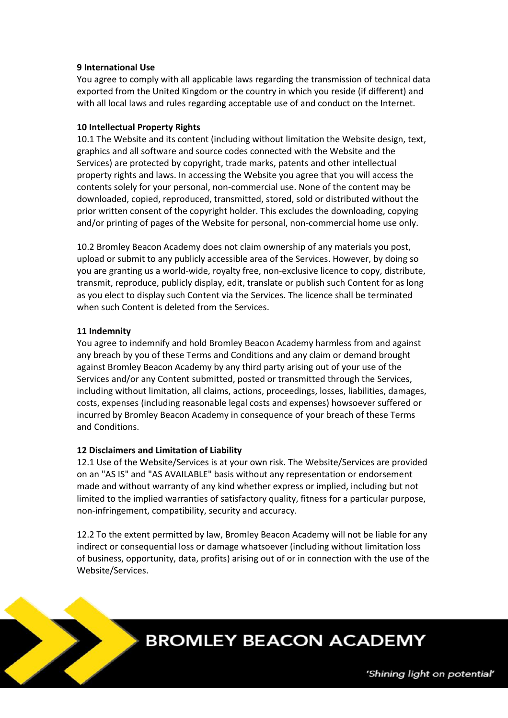# **9 International Use**

You agree to comply with all applicable laws regarding the transmission of technical data exported from the United Kingdom or the country in which you reside (if different) and with all local laws and rules regarding acceptable use of and conduct on the Internet.

## **10 Intellectual Property Rights**

10.1 The Website and its content (including without limitation the Website design, text, graphics and all software and source codes connected with the Website and the Services) are protected by copyright, trade marks, patents and other intellectual property rights and laws. In accessing the Website you agree that you will access the contents solely for your personal, non-commercial use. None of the content may be downloaded, copied, reproduced, transmitted, stored, sold or distributed without the prior written consent of the copyright holder. This excludes the downloading, copying and/or printing of pages of the Website for personal, non-commercial home use only.

10.2 Bromley Beacon Academy does not claim ownership of any materials you post, upload or submit to any publicly accessible area of the Services. However, by doing so you are granting us a world-wide, royalty free, non-exclusive licence to copy, distribute, transmit, reproduce, publicly display, edit, translate or publish such Content for as long as you elect to display such Content via the Services. The licence shall be terminated when such Content is deleted from the Services.

## **11 Indemnity**

You agree to indemnify and hold Bromley Beacon Academy harmless from and against any breach by you of these Terms and Conditions and any claim or demand brought against Bromley Beacon Academy by any third party arising out of your use of the Services and/or any Content submitted, posted or transmitted through the Services, including without limitation, all claims, actions, proceedings, losses, liabilities, damages, costs, expenses (including reasonable legal costs and expenses) howsoever suffered or incurred by Bromley Beacon Academy in consequence of your breach of these Terms and Conditions.

# **12 Disclaimers and Limitation of Liability**

12.1 Use of the Website/Services is at your own risk. The Website/Services are provided on an "AS IS" and "AS AVAILABLE" basis without any representation or endorsement made and without warranty of any kind whether express or implied, including but not limited to the implied warranties of satisfactory quality, fitness for a particular purpose, non-infringement, compatibility, security and accuracy.

12.2 To the extent permitted by law, Bromley Beacon Academy will not be liable for any indirect or consequential loss or damage whatsoever (including without limitation loss of business, opportunity, data, profits) arising out of or in connection with the use of the Website/Services.